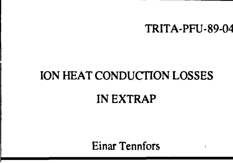

#### TRITA-PFU-89-04

## ION HEAT CONDUCTION LOSSES

#### IN EXTRAP

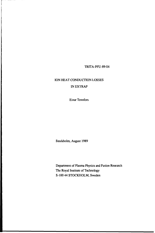TRITA-PFU-89-04

# ION HEAT CONDUCTION LOSSES IN EXTRAP

Einar Tennfors

Stockholm, August 1989

Department of Plasma Physics and Fusion Research The Royal Institute of Technology S-100 44 STOCKHOLM, Sweden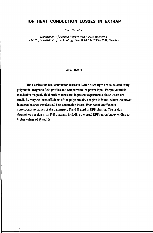## **ION HEAT CONDUCTION LOSSES IN EXTRAP**

*Einar Tennfors*

*Department of Plasma Physics and Fusion Research, The Royal Institute of Technology, S-100 44 STOCKHOLM, Sweden*

### ABSTRACT

The classical ion heat conduction losses in Extrap discharges are calculated using polynomial magnetic field profiles and compared to the power input. For polynomials matched \*o magnetic field profiles measured in present experiments, these losses are small. By varying the coefficients of the polynomials, a region is found, where the power input can balance the classical heat conduction losses. Each set of coefficients corresponds to values of the parameters  $F$  and  $\Theta$  used in RFP physics. The region determines a region in an F- $\Theta$  diagram, including the usual RFP region but extending to higher values of  $\Theta$  and  $\beta_{\theta}$ .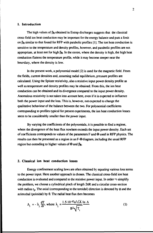#### **1. Introduction**

The high values of  $\beta_0$  obtained in Extrap discharges suggests that the classical cross-field ion heat conduction may be important for the energy balance and puts a limit on  $\beta_{\theta}$  similar to that found for RFP with parabolic profiles [1]. The ion heat conduction is sensitive to the temperature and density profiles, however, and parabolic profiles are not appropriate, at least not for high  $\beta_{\theta}$ . In the centre, where the density is high, the high heat conduction flattens the temperature profile, while it may become steeper near the boundary, where the density is low.

In the present work, a polynomial model [2] is used for the magnetic field. From the fields, current densities and, assuming radial equilibrium, pressure profiles are calculated. Using the Spitzer resistivity, also a resistive input power density profile as well as temperature and density profiles may be obtained. From this, the ion heat conduction can be obtained and its divergence compared to the input power density. Anomalous resistivity is not taken into account here, even if it is expected to influence both the power input and the loss. This is, however, not expected to change the qualitative behaviour of the balance between the two. For polynomial coefficients corresponding to profiles typical for present experiments, the ion heat conduction losses seem to be considerably smaller than the power input

By varying the coefficients of the polynomials, it is possible to find a regime, where the divergence of the heat flux nowhere exceeds the input power density. Each set of coefficients corresponds to values of the parameters F and  $\Theta$  used in RFP physics. The results can then be presented as a region in an  $F-\Theta$  diagram, including the usual RFP region but extending to higher values of  $\Theta$  and  $\beta_{\theta}$ .

#### **2. Classical ion heat conduction losses**

Energy confinement scaling laws are often obtained by equating various loss terms to the power input. Here another approach is chosen. The classical cross-field ion heat conduction is evaluated and compared to the resistive power input. In order  $\omega$  simplify the problem, we choose a cylindrical pinch of length  $2\pi R$  and a circular cross-section with radius  $r_p$ . The axial (corresponding to the toroidal) direction is denoted by  $\phi$  and the azimuthal (poloidal) by  $\theta$ . The radial heat flux then becomes

$$
\Lambda_{i} = -\lambda_{\perp} \frac{dT}{dr}, \text{ where } \lambda_{\perp} = \frac{1.5 \cdot 10^{-42} n^{2} \sqrt{A}}{B^{2} \sqrt{T_{i}}} \frac{\ln \Lambda}{}
$$
 (1)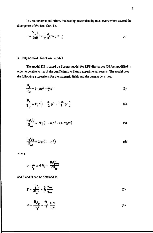In a stationary equilibrium, the heating power density must everywhere exceed the divergence of the heat flux, i.e.

$$
P = \frac{V_o}{2\pi R} > \frac{1}{r} \frac{d}{dr} (rA_i) \equiv P_i
$$
 (2)

## **3. Polynomial function model**

The model [2] is based on Sprott's model for RFP discharges [3], but modified in order to be able to match the coefficients to Extrap experimental results. The model uses the following expressions for the magnetic fields and the current densities:

$$
\frac{B_{\phi}}{B_{\phi 0}} = 1 - \alpha \rho^2 + \frac{\alpha}{2} \rho^4
$$
 (3)

$$
\frac{\mathbf{B}_{\theta}}{\mathbf{B}_{\phi 0}} = \Theta_{0} \rho \left( 1 - \frac{\alpha}{2} \rho^{2} - \frac{1 - \alpha}{3} \rho^{4} \right)
$$
(4)

$$
\frac{\mu_0 r_p j_\phi}{B_{\phi 0}} = 2\Theta_0 \left(1 - \alpha \rho^2 - (1 - \alpha)\rho^4\right)
$$
 (5)

$$
\frac{\mu_0 r_{\mathsf{p}} I_{\mathsf{0}}}{B_{\varphi 0}} = 2\alpha \rho \left(1 - \rho^2\right) \tag{6}
$$

where

$$
\rho = \frac{\mathbf{r}}{\mathbf{r}_p} \text{ and } \Theta_0 = \frac{\mu_0 \mathbf{r}_p \mathbf{j}_{\phi 0}}{2 \mathbf{B}_{\phi 0}}
$$

and  $F$  and  $\Theta$  can be obtained as

$$
F = \frac{B_0 r_p}{\left(B_0\right)^2} = \frac{3}{2} \frac{2-\alpha}{3-\alpha} \tag{7}
$$

$$
\Theta = \frac{B_{\theta} r_{p}}{\left(B_{\phi}\right)^{2}} = \frac{\Theta_{0}}{2} \frac{4 - \alpha}{3 - \alpha}
$$
\n(8)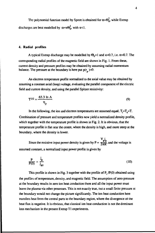The polynomial function model by Sprott is obtained for  $\alpha = \Theta_0^2$ , while Extrap discharges are best modelled by  $\alpha = \kappa \Theta_0^2$ , with  $\kappa < 1$ .

#### **4. Radial profiles**

A typical Extrap discharge may be modelled by  $\Theta_0=1$  and  $\kappa=0.7$ , i.e.  $\alpha=0.7$ . The corresponding radial profiles of the magnetic field are shown in Fig. 1. From these, current density and pressure profiles may be obtained by assuming radial momentum balance. The pressure at the boundary is here put  $p(r_n)=0$ .

An electron temperature profile normalized to the axial value may be obtained by assuming a constant axial (loop) voltage, evaluating the parallel component of the electric field and current density, and using the parallel Spitzer resistivity:

$$
T^{3/2} = \frac{65.3 \ln \Lambda}{\eta_{jj}}
$$
 (9)

In the following, the ion and electron temperatures are assumed equal,  $T_i=T_e=T$ . Combination of pressure and temperature profiles now yield a normalized density profile, which together with the temperature profile is shown in Fig. 2. It is obvious, that the temperature profile is flat near the centre, where the density is high, and more steep at the boundary, where the density is lower.

Since the resistive input power density is given by  $P = \frac{V_{\phi\phi}}{2\pi R}$ , and the voltage is assumed constant, a normalized input power profile is given by

$$
\frac{\mathbf{P}}{\mathbf{P}(0)} = \frac{\mathbf{j}_\phi}{\mathbf{j}_{\phi 0}} \tag{10}
$$

This profile is shown in Fig. 3 together with the profile of *P{* /P(0) obtained using the profiles of temperature, density, and magnetic field. The assumption of zero pressure at the boundary results in zero ion heat conduction there and all the input power must leave the plasma via other processes. This is not exactly true, out a small finite pressure at the boundary would not change the picture significantly. The ion heat conduction here transfers heat from the central parts to the boundary region, where the divergence of the heat flux is negative. It is obvious, that classical ion heat conduction is not the dominant loss mechanism in the present Extrap Tl experiments.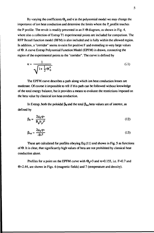By varying the coefficients  $\Theta_0$  and  $\kappa$  in the polynomial model we may change the importance of ion heat conduction and determine the limits where the  $P_i$  profile touches the P profile. The result is readily presented in an  $F-\Theta$  diagram, as shown in Fig. 4, where also a collection of Extrap Tl experimental points are included for comparison. The RFP Bessel function model (BFM) is also included and is fully within the allowed region. In addition, a "corridor" seems to exist for positive F and extending to very large values of  $\Theta$ . A curve Extrap Polynomial Function Model (EPFM) is drawn, connecting the region of the experimental points to the "corridor". The curve is defined by

$$
\kappa = \frac{1}{\sqrt{1 + \frac{1}{2}\Theta_0^4}}
$$
 (1)

The EPFM curve describes a path along which ion heat conduction losses are moderate. Of course it impossible to tell if this path can be followed without knowledge of the total energy balance, but it provides a means to evaluate the restrictions imposed on the beta value by classical ion heat conduction.

In Extrap, both the poloidal  $\beta_0$  and the total  $\beta_{\text{tot}}$  beta values are of interest, as defined by

$$
\beta_{\theta} = \frac{2\mu_0 \cdot p}{B_{\theta}(r_p)^2}
$$
 (12)

$$
\beta_{\text{tot}} = \frac{2\mu_0 \cdot \mathbf{p}}{\cdot \mathbf{B}^2} \tag{13}
$$

These are calculated for profiles obeying Eq.(l 1) and shown in Fig. 5 as functions of  $\Theta$ . It is clear, that significantly high values of beta are not prohibited by classical heat conduction alone.

Profiles for a point on the EPFM curve with  $\Theta_0=3$  and  $\kappa=0.155$ , i.e. F=0.7 and 0=2.44, are shown in Figs. 6 (magnetic fields) and 7 (temperature and density).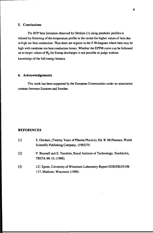## 5. Conclusions

The RFP beta limitation observed by Ortolani [1] using parabolic profiles is relaxed by flattening of the temperature profile in the centre for higher values of beta due to high ion heat conduction. Thus there are regions in the  $F-\Theta$  diagram where beta may be high with moderate ion heat conduction losses. Whether the EPFM curve can be followed up to larger values of  $\Theta_0$  for Extrap discharges is not possible to judge without knowledge of the full energy balance.

#### **6. Acknowledgements**

This work has been supported by the European Communities under an association contract between Euratom and Sweden.

## **REFERENCES**

| S. Ortolani, (Twenty Years of Plasma Physics), Ed. B. McNamara, World                                   |
|---------------------------------------------------------------------------------------------------------|
| Scientific Publishing Company, (1985)75.                                                                |
| P. Brunsell and E. Tennfors, Royal Institute of Technology, Stockholm,<br>TRITA-88-10, (1988).          |
| J.C. Sprott, University of Wisconsin Laboratory Report DOE/ER/53198-<br>117, Madison, Wisconsin (1988). |
|                                                                                                         |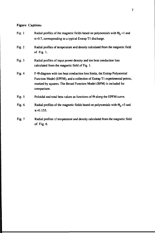## **Figure Captions**

I

| Fig. 1   | Radial profiles of the magnetic fields based on polynomials with $\Theta_0 = 1$ and<br>$\kappa$ =0.7, corresponding to a typical Extrap T1 discharge.                                                                                            |
|----------|--------------------------------------------------------------------------------------------------------------------------------------------------------------------------------------------------------------------------------------------------|
| Fig. $2$ | Radial profiles of temperature and density calculated from the magnetic field<br>of Fig. $1$ .                                                                                                                                                   |
| Fig. $3$ | Radial profiles of input power density and ion heat conduction loss<br>calculated from the magnetic field of Fig. 1.                                                                                                                             |
| Fig. $4$ | $F-\Theta$ diagram with ion heat conduction loss limits, the Extrap Polynomial<br>Function Model (EPFM), and a collection of Extrap T1 experimental points,<br>marked by squares. The Bessel Function Model (BFM) is included for<br>comparison. |
| Fig. $5$ | Poloidal and total beta values as functions of $\Theta$ along the EPFM curve.                                                                                                                                                                    |
| Fig. $6$ | Radial profiles of the magnetic fields based on polynomials with $\Theta_0 = 3$ and<br>$\kappa = 0.155$ .                                                                                                                                        |
| Fig. $7$ | Radial profiles of temperature and density calculated from the magnetic field<br>of Fig. $6.$                                                                                                                                                    |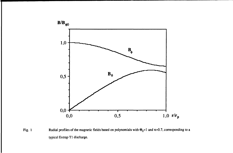

Fig. 1 Radial profiles of the magnetic fields based on polynomials with  $\Theta_0=1$  and K=0.7, corresponding to a typical Extrap Tl discharge.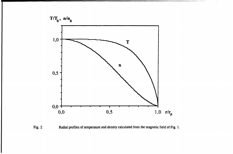

**Fig. 2 Radial profiles of temperature and density calculated from the magnetic field of Fig. 1.**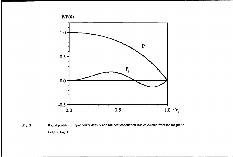

Fig. 3 Radial profiles of input power density and ion heat conduction loss calculated from the magnetic field of Fig. 1.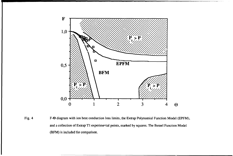

Fig. 4 F- $\Theta$  diagram with ion heat conduction loss limits, the Extrap Polynomial Function Model (EPFM), and a collection of Extrap Tl experimental points, marked by squares. The Bessel Function Model (BFM) is included for comparison.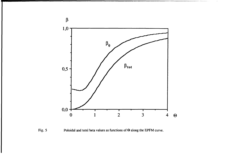

Fig. 5 Poloidal and total beta values as functions of  $\Theta$  along the EPFM curve.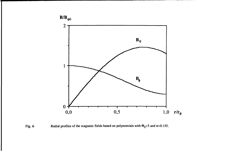

Fig. 6 Radial profiles of the magnetic fields based on polynomials with  $\Theta_0 = 3$  and  $\kappa = 0.155$ .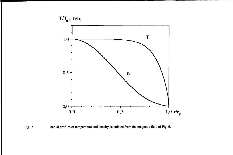

Fig. 7 Radial profiles of temperature and density calculated from the magnetic field of Fig. 6.